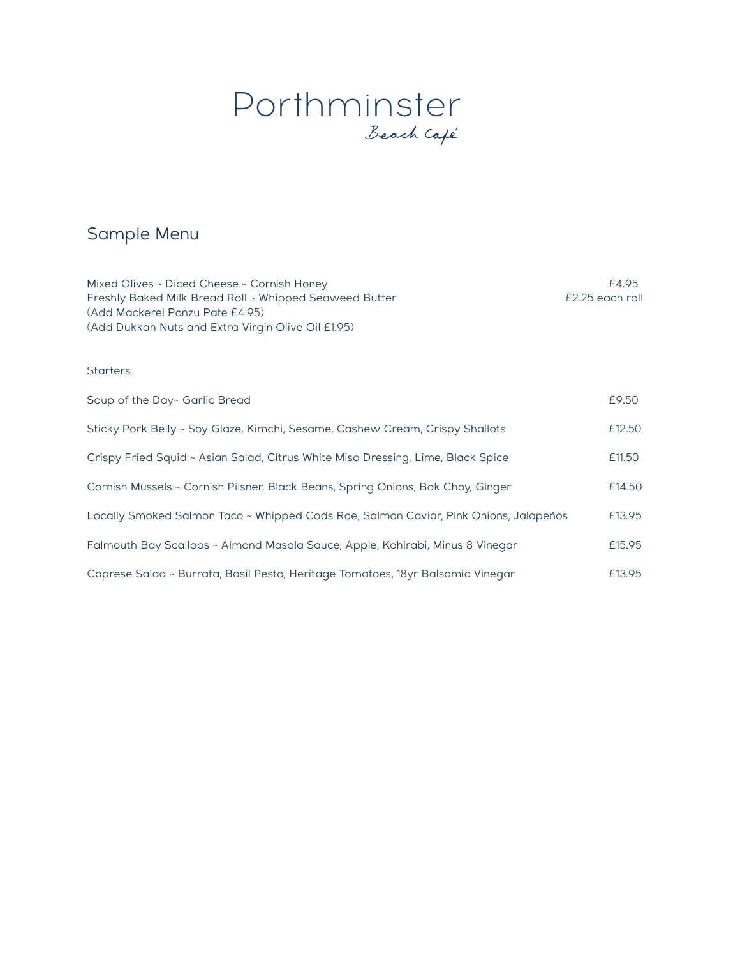# Porthminster

## Sample Menu

Mixed Olives ~ Diced Cheese ~ Cornish Honey **EXALL EXALL EXALL EXALL EXALL EXALL EXALL EXALL EXALL EXALL EXALL EXA** Freshly Baked Milk Bread Roll ~ Whipped Seaweed Butter **Fig. 2008** E2.25 each roll (Add Mackerel Ponzu Pate £4.95) (Add Dukkah Nuts and Extra Virgin Olive Oil £1.95)

#### **Starters**

| Soup of the Day~ Garlic Bread                                                        | £9.50  |
|--------------------------------------------------------------------------------------|--------|
| Sticky Pork Belly ~ Soy Glaze, Kimchi, Sesame, Cashew Cream, Crispy Shallots         | £12.50 |
| Crispy Fried Squid ~ Asian Salad, Citrus White Miso Dressing, Lime, Black Spice      | £11.50 |
| Cornish Mussels ~ Cornish Pilsner, Black Beans, Spring Onions, Bok Choy, Ginger      | £14.50 |
| Locally Smoked Salmon Taco ~ Whipped Cods Roe, Salmon Caviar, Pink Onions, Jalapeños | £13.95 |
| Falmouth Bay Scallops ~ Almond Masala Sauce, Apple, Kohlrabi, Minus 8 Vinegar        | £15.95 |
| Caprese Salad ~ Burrata, Basil Pesto, Heritage Tomatoes, 18yr Balsamic Vinegar       | £13.95 |